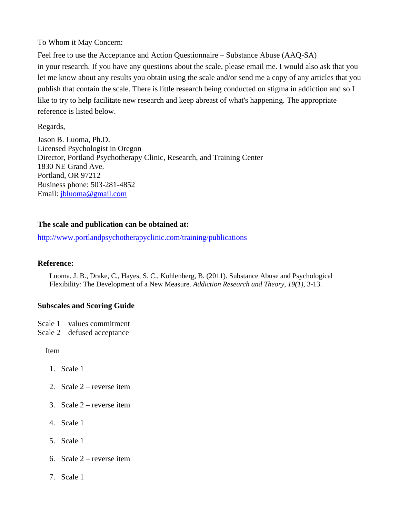To Whom it May Concern:

Feel free to use the Acceptance and Action Questionnaire – Substance Abuse (AAQ-SA) in your research. If you have any questions about the scale, please email me. I would also ask that you let me know about any results you obtain using the scale and/or send me a copy of any articles that you publish that contain the scale. There is little research being conducted on stigma in addiction and so I like to try to help facilitate new research and keep abreast of what's happening. The appropriate reference is listed below.

Regards,

Jason B. Luoma, Ph.D. Licensed Psychologist in Oregon Director, Portland Psychotherapy Clinic, Research, and Training Center 1830 NE Grand Ave. Portland, OR 97212 Business phone: 503-281-4852 Email: [jbluoma@gmail.com](mailto:jbluoma@gmail.com)

## **The scale and publication can be obtained at:**

<http://www.portlandpsychotherapyclinic.com/training/publications>

## **Reference:**

Luoma, J. B., Drake, C., Hayes, S. C., Kohlenberg, B. (2011). Substance Abuse and Psychological Flexibility: The Development of a New Measure. *Addiction Research and Theory, 19(1),* 3-13.

## **Subscales and Scoring Guide**

Scale 1 – values commitment Scale 2 – defused acceptance

Item

- 1. Scale 1
- 2. Scale 2 reverse item
- 3. Scale  $2$  reverse item
- 4. Scale 1
- 5. Scale 1
- 6. Scale  $2$  reverse item
- 7. Scale 1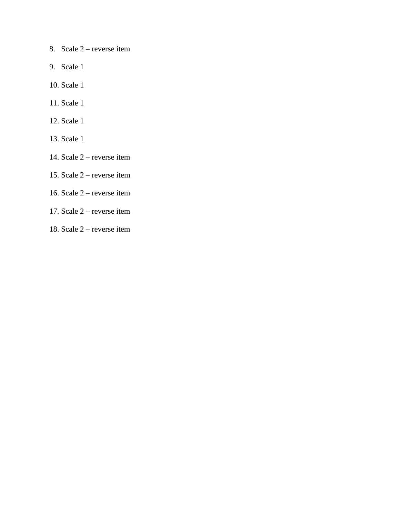- 8. Scale 2 reverse item
- 9. Scale 1
- 10. Scale 1
- 11. Scale 1
- 12. Scale 1
- 13. Scale 1
- 14. Scale 2 reverse item
- 15. Scale 2 reverse item
- 16. Scale 2 reverse item
- 17. Scale 2 reverse item
- 18. Scale 2 reverse item